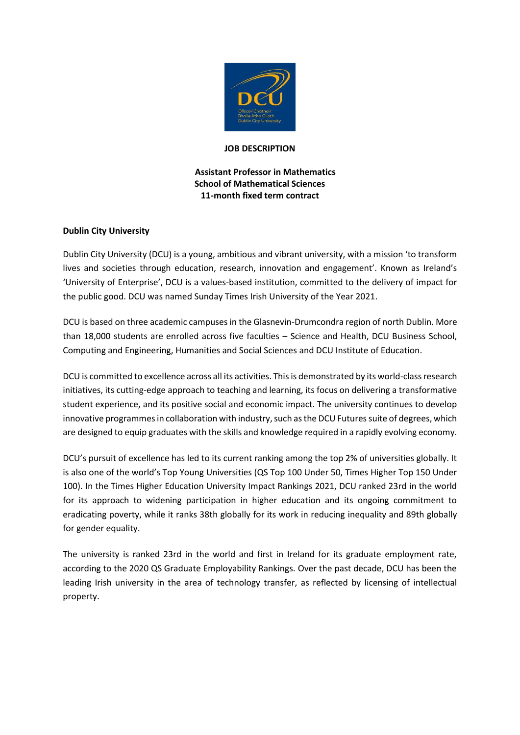

### **JOB DESCRIPTION**

# **Assistant Professor in Mathematics School of Mathematical Sciences 11-month fixed term contract**

# **Dublin City University**

Dublin City University (DCU) is a young, ambitious and vibrant university, with a mission 'to transform lives and societies through education, research, innovation and engagement'. Known as Ireland's 'University of Enterprise', DCU is a values-based institution, committed to the delivery of impact for the public good. DCU was named Sunday Times Irish University of the Year 2021.

DCU is based on three academic campuses in the Glasnevin-Drumcondra region of north Dublin. More than 18,000 students are enrolled across five faculties – Science and Health, DCU Business School, Computing and Engineering, Humanities and Social Sciences and DCU Institute of Education.

DCU is committed to excellence across all its activities. This is demonstrated by its world-class research initiatives, its cutting-edge approach to teaching and learning, its focus on delivering a transformative student experience, and its positive social and economic impact. The university continues to develop innovative programmes in collaboration with industry, such as the DCU Futures suite of degrees, which are designed to equip graduates with the skills and knowledge required in a rapidly evolving economy.

DCU's pursuit of excellence has led to its current ranking among the top 2% of universities globally. It is also one of the world's Top Young Universities (QS Top 100 Under 50, Times Higher Top 150 Under 100). In the Times Higher Education University Impact Rankings 2021, DCU ranked 23rd in the world for its approach to widening participation in higher education and its ongoing commitment to eradicating poverty, while it ranks 38th globally for its work in reducing inequality and 89th globally for gender equality.

The university is ranked 23rd in the world and first in Ireland for its graduate employment rate, according to the 2020 QS Graduate Employability Rankings. Over the past decade, DCU has been the leading Irish university in the area of technology transfer, as reflected by licensing of intellectual property.